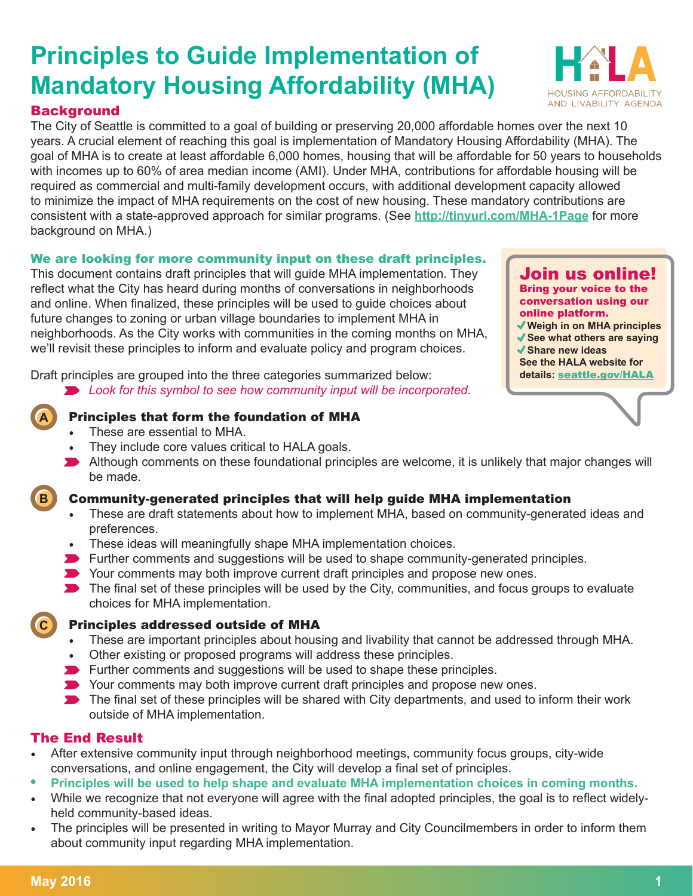### **Background**

**A**

**B**

**C**

The City of Seattle is committed to a goal of building or preserving 20,000 affordable homes over the next 10 years. A crucial element of reaching this goal is implementation of Mandatory Housing Affordability (MHA). The goal of MHA is to create at least affordable 6,000 homes, housing that will be affordable for 50 years to households with incomes up to 60% of area median income (AMI). Under MHA, contributions for affordable housing will be required as commercial and multi-family development occurs, with additional development capacity allowed to minimize the impact of MHA requirements on the cost of new housing. These mandatory contributions are consistent with a state-approved approach for similar programs. (See **<http://tinyurl.com/MHA-1Page>** for more background on MHA.)

### We are looking for more community input on these draft principles.

This document contains draft principles that will guide MHA implementation. They reflect what the City has heard during months of conversations in neighborhoods and online. When finalized, these principles will be used to guide choices about future changes to zoning or urban village boundaries to implement MHA in neighborhoods. As the City works with communities in the coming months on MHA, we'll revisit these principles to inform and evaluate policy and program choices.

Draft principles are grouped into the three categories summarized below:

*Look for this symbol to see how community input will be incorporated.*

### Principles that form the foundation of MHA

- These are essential to MHA.
- They include core values critical to HALA goals.
- Although comments on these foundational principles are welcome, it is unlikely that major changes will be made.

### Community-generated principles that will help guide MHA implementation

- These are draft statements about how to implement MHA, based on community-generated ideas and preferences.
- These ideas will meaningfully shape MHA implementation choices.
- Further comments and suggestions will be used to shape community-generated principles.
- Your comments may both improve current draft principles and propose new ones.
- $\blacktriangleright$  The final set of these principles will be used by the City, communities, and focus groups to evaluate choices for MHA implementation.

### Principles addressed outside of MHA

- These are important principles about housing and livability that cannot be addressed through MHA.
- Other existing or proposed programs will address these principles.
- $\blacktriangleright$  Further comments and suggestions will be used to shape these principles.
- Your comments may both improve current draft principles and propose new ones.
- The final set of these principles will be shared with City departments, and used to inform their work outside of MHA implementation.

### The End Result

- After extensive community input through neighborhood meetings, community focus groups, city-wide conversations, and online engagement, the City will develop a final set of principles.
- **• Principles will be used to help shape and evaluate MHA implementation choices in coming months.**
- While we recognize that not everyone will agree with the final adopted principles, the goal is to reflect widelyheld community-based ideas.
- The principles will be presented in writing to Mayor Murray and City Councilmembers in order to inform them about community input regarding MHA implementation.



Join us online! Bring your voice to the conversation using our online platform.

- **Weigh in on MHA principles**
- **√ See what others are saying**
- **Share new ideas See the HALA website for**

**details:** [seattle.gov/HALA](http://seattle.gov/HALA)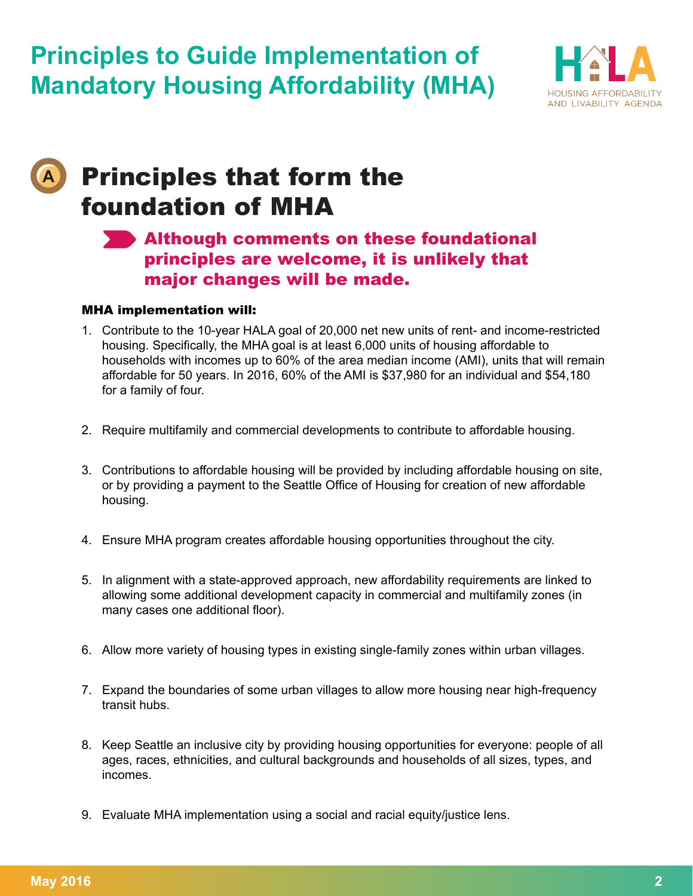

## Principles that form the foundation of MHA

## **Although comments on these foundational** principles are welcome, it is unlikely that major changes will be made.

### MHA implementation will:

**A**

- 1. Contribute to the 10-year HALA goal of 20,000 net new units of rent- and income-restricted housing. Specifically, the MHA goal is at least 6,000 units of housing affordable to households with incomes up to 60% of the area median income (AMI), units that will remain affordable for 50 years. In 2016, 60% of the AMI is \$37,980 for an individual and \$54,180 for a family of four.
- 2. Require multifamily and commercial developments to contribute to affordable housing.
- 3. Contributions to affordable housing will be provided by including affordable housing on site, or by providing a payment to the Seattle Office of Housing for creation of new affordable housing.
- 4. Ensure MHA program creates affordable housing opportunities throughout the city.
- 5. In alignment with a state-approved approach, new affordability requirements are linked to allowing some additional development capacity in commercial and multifamily zones (in many cases one additional floor).
- 6. Allow more variety of housing types in existing single-family zones within urban villages.
- 7. Expand the boundaries of some urban villages to allow more housing near high-frequency transit hubs.
- 8. Keep Seattle an inclusive city by providing housing opportunities for everyone: people of all ages, races, ethnicities, and cultural backgrounds and households of all sizes, types, and incomes.
- 9. Evaluate MHA implementation using a social and racial equity/justice lens.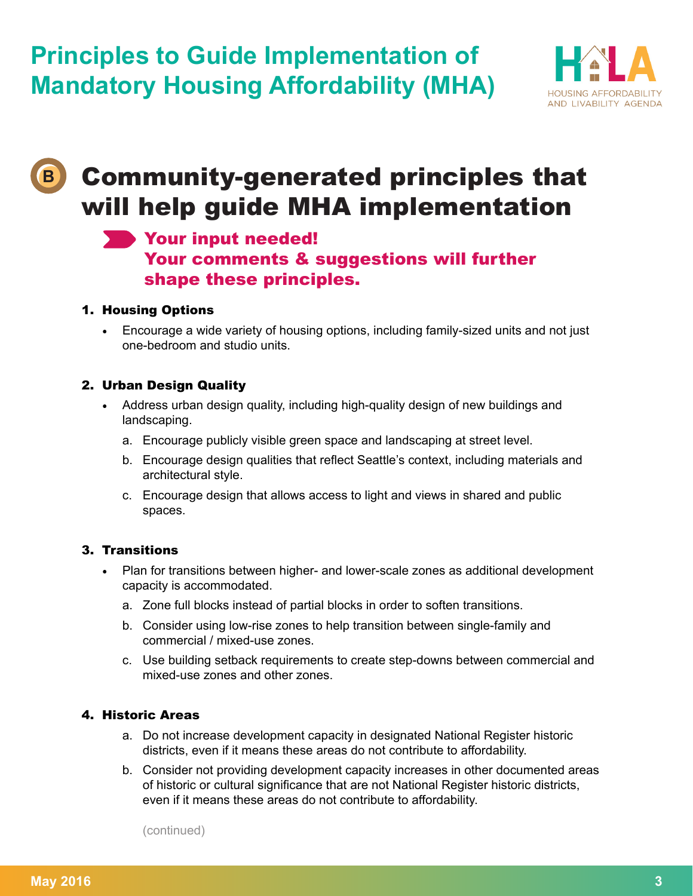

# Community-generated principles that will help guide MHA implementation

## Your input needed! Your comments & suggestions will further shape these principles.

### 1. Housing Options

**B**

• Encourage a wide variety of housing options, including family-sized units and not just one-bedroom and studio units.

### 2. Urban Design Quality

- Address urban design quality, including high-quality design of new buildings and landscaping.
	- a. Encourage publicly visible green space and landscaping at street level.
	- b. Encourage design qualities that reflect Seattle's context, including materials and architectural style.
	- c. Encourage design that allows access to light and views in shared and public spaces.

### 3. Transitions

- Plan for transitions between higher- and lower-scale zones as additional development capacity is accommodated.
	- a. Zone full blocks instead of partial blocks in order to soften transitions.
	- b. Consider using low-rise zones to help transition between single-family and commercial / mixed-use zones.
	- c. Use building setback requirements to create step-downs between commercial and mixed-use zones and other zones.

### 4. Historic Areas

- a. Do not increase development capacity in designated National Register historic districts, even if it means these areas do not contribute to affordability.
- b. Consider not providing development capacity increases in other documented areas of historic or cultural significance that are not National Register historic districts, even if it means these areas do not contribute to affordability.

(continued)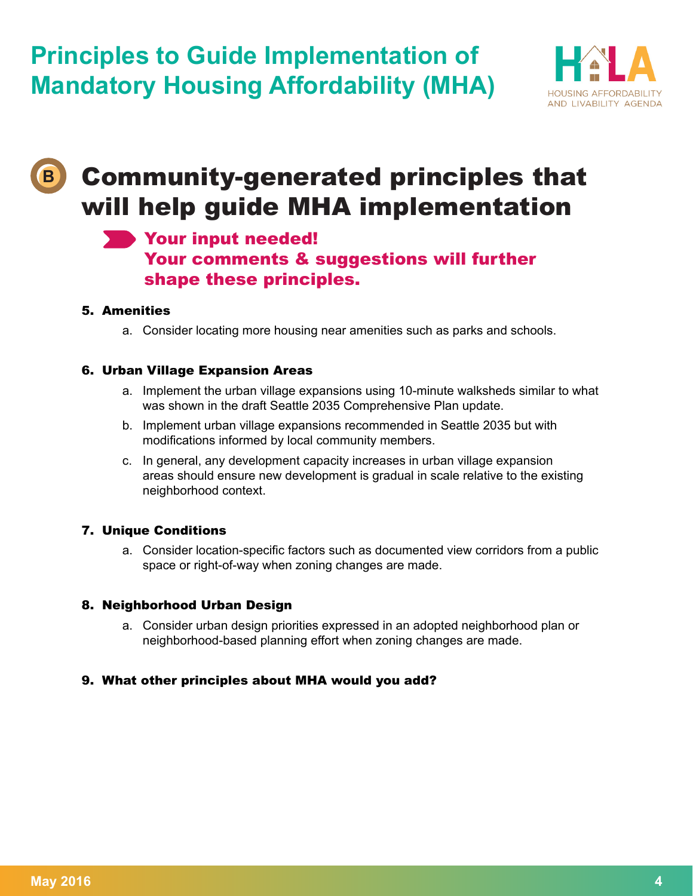

# Community-generated principles that will help guide MHA implementation

## Your input needed! Your comments & suggestions will further shape these principles.

### 5. Amenities

**B**

a. Consider locating more housing near amenities such as parks and schools.

### 6. Urban Village Expansion Areas

- a. Implement the urban village expansions using 10-minute walksheds similar to what was shown in the draft Seattle 2035 Comprehensive Plan update.
- b. Implement urban village expansions recommended in Seattle 2035 but with modifications informed by local community members.
- c. In general, any development capacity increases in urban village expansion areas should ensure new development is gradual in scale relative to the existing neighborhood context.

### 7. Unique Conditions

a. Consider location-specific factors such as documented view corridors from a public space or right-of-way when zoning changes are made.

### 8. Neighborhood Urban Design

a. Consider urban design priorities expressed in an adopted neighborhood plan or neighborhood-based planning effort when zoning changes are made.

### 9. What other principles about MHA would you add?